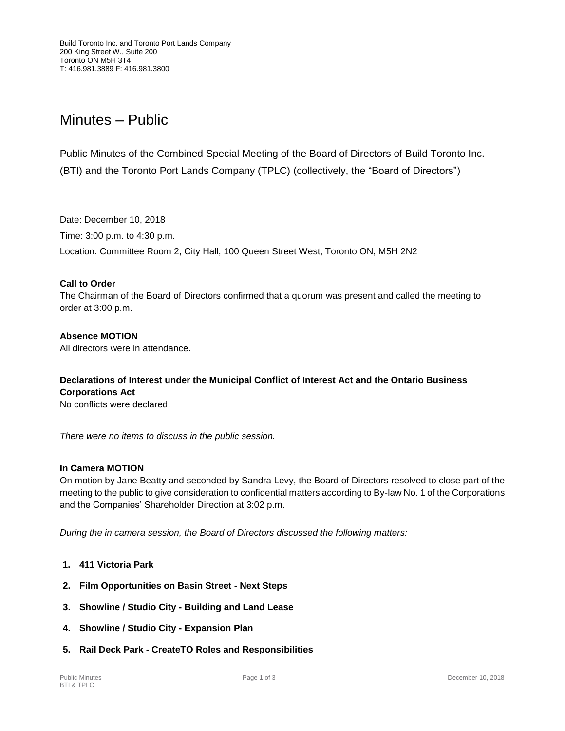# Minutes – Public

Public Minutes of the Combined Special Meeting of the Board of Directors of Build Toronto Inc. (BTI) and the Toronto Port Lands Company (TPLC) (collectively, the "Board of Directors")

Date: December 10, 2018 Time: 3:00 p.m. to 4:30 p.m. Location: Committee Room 2, City Hall, 100 Queen Street West, Toronto ON, M5H 2N2

## **Call to Order**

The Chairman of the Board of Directors confirmed that a quorum was present and called the meeting to order at 3:00 p.m.

#### **Absence MOTION**

All directors were in attendance.

# **Declarations of Interest under the Municipal Conflict of Interest Act and the Ontario Business Corporations Act**

No conflicts were declared.

*There were no items to discuss in the public session.*

## **In Camera MOTION**

On motion by Jane Beatty and seconded by Sandra Levy, the Board of Directors resolved to close part of the meeting to the public to give consideration to confidential matters according to By-law No. 1 of the Corporations and the Companies' Shareholder Direction at 3:02 p.m.

*During the in camera session, the Board of Directors discussed the following matters:*

- **1. 411 Victoria Park**
- **2. Film Opportunities on Basin Street - Next Steps**
- **3. Showline / Studio City - Building and Land Lease**
- **4. Showline / Studio City - Expansion Plan**
- **5. Rail Deck Park - CreateTO Roles and Responsibilities**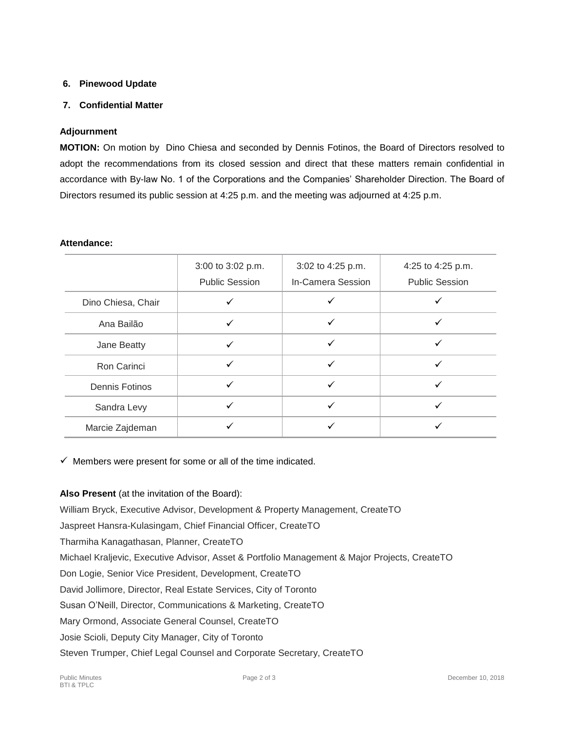# **6. Pinewood Update**

# **7. Confidential Matter**

# **Adjournment**

**MOTION:** On motion by Dino Chiesa and seconded by Dennis Fotinos, the Board of Directors resolved to adopt the recommendations from its closed session and direct that these matters remain confidential in accordance with By-law No. 1 of the Corporations and the Companies' Shareholder Direction. The Board of Directors resumed its public session at 4:25 p.m. and the meeting was adjourned at 4:25 p.m.

#### **Attendance:**

|                    | 3:00 to 3:02 p.m.<br><b>Public Session</b> | 3:02 to 4:25 p.m.<br>In-Camera Session | 4:25 to 4:25 p.m.<br><b>Public Session</b> |
|--------------------|--------------------------------------------|----------------------------------------|--------------------------------------------|
| Dino Chiesa, Chair |                                            |                                        |                                            |
| Ana Bailão         |                                            |                                        |                                            |
| Jane Beatty        | ✓                                          |                                        |                                            |
| Ron Carinci        | ✓                                          | ✓                                      |                                            |
| Dennis Fotinos     |                                            |                                        |                                            |
| Sandra Levy        |                                            |                                        |                                            |
| Marcie Zajdeman    |                                            |                                        |                                            |

 $\checkmark$  Members were present for some or all of the time indicated.

## **Also Present** (at the invitation of the Board):

William Bryck, Executive Advisor, Development & Property Management, CreateTO

Jaspreet Hansra-Kulasingam, Chief Financial Officer, CreateTO

Tharmiha Kanagathasan, Planner, CreateTO

Michael Kraljevic, Executive Advisor, Asset & Portfolio Management & Major Projects, CreateTO

Don Logie, Senior Vice President, Development, CreateTO

David Jollimore, Director, Real Estate Services, City of Toronto

Susan O'Neill, Director, Communications & Marketing, CreateTO

Mary Ormond, Associate General Counsel, CreateTO

Josie Scioli, Deputy City Manager, City of Toronto

Steven Trumper, Chief Legal Counsel and Corporate Secretary, CreateTO